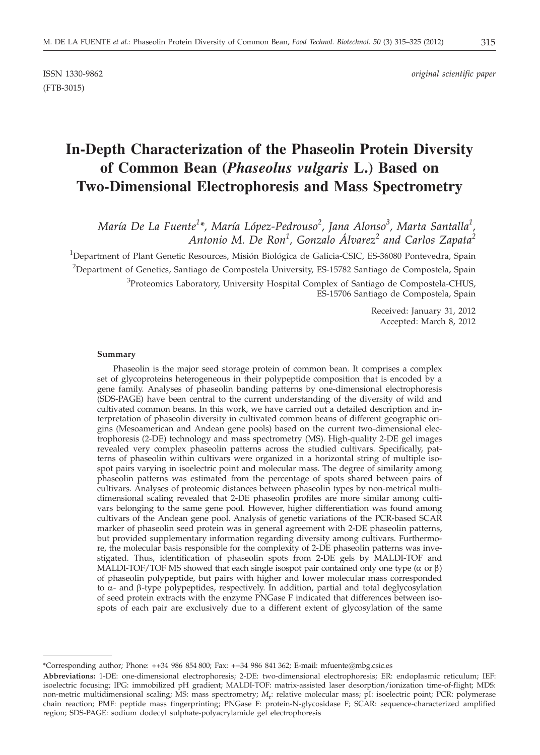(FTB-3015)

ISSN 1330-9862 *original scientific paper*

# **In-Depth Characterization of the Phaseolin Protein Diversity of Common Bean (***Phaseolus vulgaris* **L.) Based on Two-Dimensional Electrophoresis and Mass Spectrometry**

*María De La Fuente<sup>1</sup> \*, María López-Pedrouso<sup>2</sup> , Jana Alonso<sup>3</sup> , Marta Santalla<sup>1</sup> , Antonio M. De Ron<sup>1</sup> , Gonzalo Álvarez<sup>2</sup> and Carlos Zapata<sup>2</sup>*

<sup>1</sup>Department of Plant Genetic Resources, Misión Biológica de Galicia-CSIC, ES-36080 Pontevedra, Spain <sup>2</sup>Department of Genetics, Santiago de Compostela University, ES-15782 Santiago de Compostela, Spain <sup>3</sup>Proteomics Laboratory, University Hospital Complex of Santiago de Compostela-CHUS, ES-15706 Santiago de Compostela, Spain

> Received: January 31, 2012 Accepted: March 8, 2012

#### **Summary**

Phaseolin is the major seed storage protein of common bean. It comprises a complex set of glycoproteins heterogeneous in their polypeptide composition that is encoded by a gene family. Analyses of phaseolin banding patterns by one-dimensional electrophoresis (SDS-PAGE) have been central to the current understanding of the diversity of wild and cultivated common beans. In this work, we have carried out a detailed description and interpretation of phaseolin diversity in cultivated common beans of different geographic origins (Mesoamerican and Andean gene pools) based on the current two-dimensional electrophoresis (2-DE) technology and mass spectrometry (MS). High-quality 2-DE gel images revealed very complex phaseolin patterns across the studied cultivars. Specifically, patterns of phaseolin within cultivars were organized in a horizontal string of multiple isospot pairs varying in isoelectric point and molecular mass. The degree of similarity among phaseolin patterns was estimated from the percentage of spots shared between pairs of cultivars. Analyses of proteomic distances between phaseolin types by non-metrical multidimensional scaling revealed that 2-DE phaseolin profiles are more similar among cultivars belonging to the same gene pool. However, higher differentiation was found among cultivars of the Andean gene pool. Analysis of genetic variations of the PCR-based SCAR marker of phaseolin seed protein was in general agreement with 2-DE phaseolin patterns, but provided supplementary information regarding diversity among cultivars. Furthermore, the molecular basis responsible for the complexity of 2-DE phaseolin patterns was investigated. Thus, identification of phaseolin spots from 2-DE gels by MALDI-TOF and MALDI-TOF/TOF MS showed that each single isospot pair contained only one type ( $\alpha$  or  $\beta$ ) of phaseolin polypeptide, but pairs with higher and lower molecular mass corresponded to  $\alpha$ - and  $\beta$ -type polypeptides, respectively. In addition, partial and total deglycosylation of seed protein extracts with the enzyme PNGase F indicated that differences between isospots of each pair are exclusively due to a different extent of glycosylation of the same

<sup>\*</sup>Corresponding author; Phone: ++34 986 854 800; Fax: ++34 986 841 362; E-mail: mfuente@mbg.csic.es

**Abbreviations:** 1-DE: one-dimensional electrophoresis; 2-DE: two-dimensional electrophoresis; ER: endoplasmic reticulum; IEF: isoelectric focusing; IPG: immobilized pH gradient; MALDI-TOF: matrix-assisted laser desorption/ionization time-of-flight; MDS: non-metric multidimensional scaling; MS: mass spectrometry; *M*r: relative molecular mass; pI: isoelectric point; PCR: polymerase chain reaction; PMF: peptide mass fingerprinting; PNGase F: protein-N-glycosidase F; SCAR: sequence-characterized amplified region; SDS-PAGE: sodium dodecyl sulphate-polyacrylamide gel electrophoresis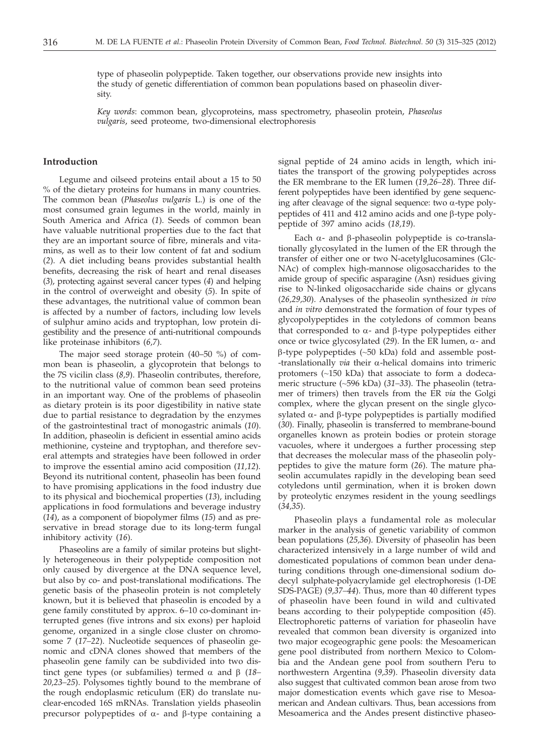type of phaseolin polypeptide. Taken together, our observations provide new insights into the study of genetic differentiation of common bean populations based on phaseolin diversity.

*Key words*: common bean, glycoproteins, mass spectrometry, phaseolin protein, *Phaseolus vulgaris*, seed proteome, two-dimensional electrophoresis

# **Introduction**

Legume and oilseed proteins entail about a 15 to 50 % of the dietary proteins for humans in many countries. The common bean (*Phaseolus vulgaris* L.) is one of the most consumed grain legumes in the world, mainly in South America and Africa (*1*). Seeds of common bean have valuable nutritional properties due to the fact that they are an important source of fibre, minerals and vitamins, as well as to their low content of fat and sodium (*2*). A diet including beans provides substantial health benefits, decreasing the risk of heart and renal diseases (*3*), protecting against several cancer types (*4*) and helping in the control of overweight and obesity (*5*). In spite of these advantages, the nutritional value of common bean is affected by a number of factors, including low levels of sulphur amino acids and tryptophan, low protein digestibility and the presence of anti-nutritional compounds like proteinase inhibitors (*6,7*).

The major seed storage protein (40–50 %) of common bean is phaseolin, a glycoprotein that belongs to the 7S vicilin class (*8,9*). Phaseolin contributes, therefore, to the nutritional value of common bean seed proteins in an important way. One of the problems of phaseolin as dietary protein is its poor digestibility in native state due to partial resistance to degradation by the enzymes of the gastrointestinal tract of monogastric animals (*10*). In addition, phaseolin is deficient in essential amino acids methionine, cysteine and tryptophan, and therefore several attempts and strategies have been followed in order to improve the essential amino acid composition (*11,12*). Beyond its nutritional content, phaseolin has been found to have promising applications in the food industry due to its physical and biochemical properties (*13*), including applications in food formulations and beverage industry (*14*), as a component of biopolymer films (*15*) and as preservative in bread storage due to its long-term fungal inhibitory activity (*16*).

Phaseolins are a family of similar proteins but slightly heterogeneous in their polypeptide composition not only caused by divergence at the DNA sequence level, but also by co- and post-translational modifications. The genetic basis of the phaseolin protein is not completely known, but it is believed that phaseolin is encoded by a gene family constituted by approx. 6–10 co-dominant interrupted genes (five introns and six exons) per haploid genome, organized in a single close cluster on chromosome 7 (*17–22*). Nucleotide sequences of phaseolin genomic and cDNA clones showed that members of the phaseolin gene family can be subdivided into two distinct gene types (or subfamilies) termed  $\alpha$  and  $\beta$  (18– *20,23–25*). Polysomes tightly bound to the membrane of the rough endoplasmic reticulum (ER) do translate nuclear-encoded 16S mRNAs. Translation yields phaseolin precursor polypeptides of  $\alpha$ - and  $\beta$ -type containing a

signal peptide of 24 amino acids in length, which initiates the transport of the growing polypeptides across the ER membrane to the ER lumen (*19,26–28*). Three different polypeptides have been identified by gene sequencing after cleavage of the signal sequence: two  $\alpha$ -type polypeptides of 411 and 412 amino acids and one  $\beta$ -type polypeptide of 397 amino acids (*18,19*).

Each  $\alpha$ - and  $\beta$ -phaseolin polypeptide is co-translationally glycosylated in the lumen of the ER through the transfer of either one or two N-acetylglucosamines (Glc-NAc) of complex high-mannose oligosaccharides to the amide group of specific asparagine (Asn) residues giving rise to N-linked oligosaccharide side chains or glycans (*26,29,30*). Analyses of the phaseolin synthesized *in vivo* and *in vitro* demonstrated the formation of four types of glycopolypeptides in the cotyledons of common beans that corresponded to  $\alpha$ - and  $\beta$ -type polypeptides either once or twice glycosylated  $(29)$ . In the ER lumen,  $\alpha$ - and  $\beta$ -type polypeptides (~50 kDa) fold and assemble post--translationally *via* their a-helical domains into trimeric protomers (~150 kDa) that associate to form a dodecameric structure (~596 kDa) (*31–33*). The phaseolin (tetramer of trimers) then travels from the ER *via* the Golgi complex, where the glycan present on the single glycosylated  $\alpha$ - and  $\beta$ -type polypeptides is partially modified (*30*). Finally, phaseolin is transferred to membrane-bound organelles known as protein bodies or protein storage vacuoles, where it undergoes a further processing step that decreases the molecular mass of the phaseolin polypeptides to give the mature form (*26*). The mature phaseolin accumulates rapidly in the developing bean seed cotyledons until germination, when it is broken down by proteolytic enzymes resident in the young seedlings (*34,35*).

Phaseolin plays a fundamental role as molecular marker in the analysis of genetic variability of common bean populations (*25,36*). Diversity of phaseolin has been characterized intensively in a large number of wild and domesticated populations of common bean under denaturing conditions through one-dimensional sodium dodecyl sulphate-polyacrylamide gel electrophoresis (1-DE SDS-PAGE) (*9,37–44*). Thus, more than 40 different types of phaseolin have been found in wild and cultivated beans according to their polypeptide composition (*45*). Electrophoretic patterns of variation for phaseolin have revealed that common bean diversity is organized into two major ecogeographic gene pools: the Mesoamerican gene pool distributed from northern Mexico to Colombia and the Andean gene pool from southern Peru to northwestern Argentina (*9,39*). Phaseolin diversity data also suggest that cultivated common bean arose from two major domestication events which gave rise to Mesoamerican and Andean cultivars. Thus, bean accessions from Mesoamerica and the Andes present distinctive phaseo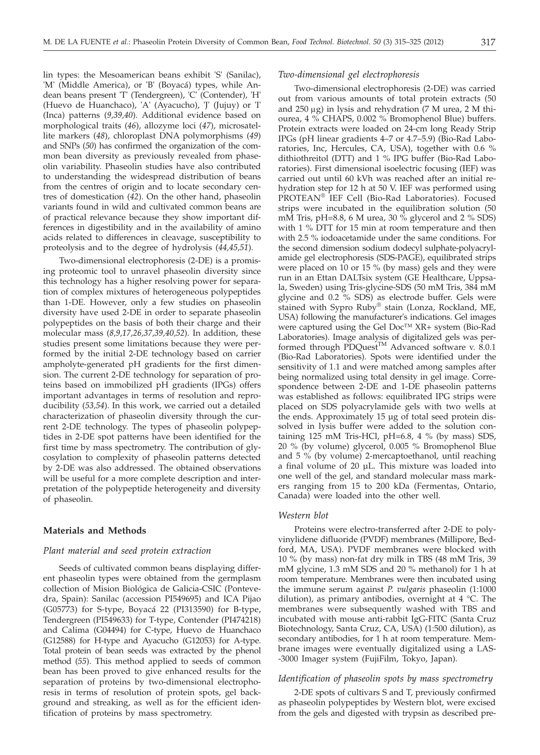lin types: the Mesoamerican beans exhibit 'S' (Sanilac), 'M' (Middle America), or 'B' (Boyacá) types, while Andean beans present 'T' (Tendergreen), 'C' (Contender), 'H' (Huevo de Huanchaco), 'A' (Ayacucho), 'J' (Jujuy) or 'I' (Inca) patterns (*9,39,40*). Additional evidence based on morphological traits (*46*), allozyme loci (*47*), microsatellite markers (*48*), chloroplast DNA polymorphisms (*49*) and SNPs (*50*) has confirmed the organization of the common bean diversity as previously revealed from phaseolin variability. Phaseolin studies have also contributed to understanding the widespread distribution of beans from the centres of origin and to locate secondary centres of domestication (*42*). On the other hand, phaseolin variants found in wild and cultivated common beans are of practical relevance because they show important differences in digestibility and in the availability of amino acids related to differences in cleavage, susceptibility to proteolysis and to the degree of hydrolysis (*44,45,51*).

Two-dimensional electrophoresis (2-DE) is a promising proteomic tool to unravel phaseolin diversity since this technology has a higher resolving power for separation of complex mixtures of heterogeneous polypeptides than 1-DE. However, only a few studies on phaseolin diversity have used 2-DE in order to separate phaseolin polypeptides on the basis of both their charge and their molecular mass (*8,9,17,26,37,39,40,52*). In addition, these studies present some limitations because they were performed by the initial 2-DE technology based on carrier ampholyte-generated pH gradients for the first dimension. The current 2-DE technology for separation of proteins based on immobilized pH gradients (IPGs) offers important advantages in terms of resolution and reproducibility (*53,54*). In this work, we carried out a detailed characterization of phaseolin diversity through the current 2-DE technology. The types of phaseolin polypeptides in 2-DE spot patterns have been identified for the first time by mass spectrometry. The contribution of glycosylation to complexity of phaseolin patterns detected by 2-DE was also addressed. The obtained observations will be useful for a more complete description and interpretation of the polypeptide heterogeneity and diversity of phaseolin.

## **Materials and Methods**

# *Plant material and seed protein extraction*

Seeds of cultivated common beans displaying different phaseolin types were obtained from the germplasm collection of Mision Biológica de Galicia-CSIC (Pontevedra, Spain): Sanilac (accession PI549695) and ICA Pijao (G05773) for S-type, Boyacá 22 (PI313590) for B-type, Tendergreen (PI549633) for T-type, Contender (PI474218) and Calima (G04494) for C-type, Huevo de Huanchaco (G12588) for H-type and Ayacucho (G12053) for A-type. Total protein of bean seeds was extracted by the phenol method (*55*). This method applied to seeds of common bean has been proved to give enhanced results for the separation of proteins by two-dimensional electrophoresis in terms of resolution of protein spots, gel background and streaking, as well as for the efficient identification of proteins by mass spectrometry.

#### *Two-dimensional gel electrophoresis*

Two-dimensional electrophoresis (2-DE) was carried out from various amounts of total protein extracts (50 and  $250 \mu g$ ) in lysis and rehydration (7 M urea, 2 M thiourea, 4 % CHAPS, 0.002 % Bromophenol Blue) buffers. Protein extracts were loaded on 24-cm long Ready Strip IPGs (pH linear gradients 4–7 or 4.7–5.9) (Bio-Rad Laboratories, Inc, Hercules, CA, USA), together with 0.6 % dithiothreitol (DTT) and 1 % IPG buffer (Bio-Rad Laboratories). First dimensional isoelectric focusing (IEF) was carried out until 60 kVh was reached after an initial rehydration step for 12 h at 50 V. IEF was performed using PROTEAN® IEF Cell (Bio-Rad Laboratories). Focused strips were incubated in the equilibration solution (50 mM Tris, pH=8.8, 6 M urea, 30 % glycerol and 2 % SDS) with 1 % DTT for 15 min at room temperature and then with 2.5 % iodoacetamide under the same conditions. For the second dimension sodium dodecyl sulphate-polyacrylamide gel electrophoresis (SDS-PAGE), equilibrated strips were placed on 10 or 15 % (by mass) gels and they were run in an Ettan DALTsix system (GE Healthcare, Uppsala, Sweden) using Tris-glycine-SDS (50 mM Tris, 384 mM glycine and 0.2 % SDS) as electrode buffer. Gels were stained with Sypro Ruby® stain (Lonza, Rockland, ME, USA) following the manufacturer's indications. Gel images were captured using the Gel Doc™ XR+ system (Bio-Rad Laboratories). Image analysis of digitalized gels was performed through PDQuest<sup>TM</sup> Advanced software v. 8.0.1 (Bio-Rad Laboratories). Spots were identified under the sensitivity of 1.1 and were matched among samples after being normalized using total density in gel image. Correspondence between 2-DE and 1-DE phaseolin patterns was established as follows: equilibrated IPG strips were placed on SDS polyacrylamide gels with two wells at the ends. Approximately 15 µg of total seed protein dissolved in lysis buffer were added to the solution containing 125 mM Tris-HCl, pH=6.8, 4 % (by mass) SDS, 20 % (by volume) glycerol, 0.005 % Bromophenol Blue and 5 % (by volume) 2-mercaptoethanol, until reaching a final volume of 20 µL. This mixture was loaded into one well of the gel, and standard molecular mass markers ranging from 15 to 200 kDa (Fermentas, Ontario, Canada) were loaded into the other well.

#### *Western blot*

Proteins were electro-transferred after 2-DE to polyvinylidene difluoride (PVDF) membranes (Millipore, Bedford, MA, USA). PVDF membranes were blocked with 10 % (by mass) non-fat dry milk in TBS (48 mM Tris, 39 mM glycine, 1.3 mM SDS and 20 % methanol) for 1 h at room temperature. Membranes were then incubated using the immune serum against *P. vulgaris* phaseolin (1:1000 dilution), as primary antibodies, overnight at 4 °C. The membranes were subsequently washed with TBS and incubated with mouse anti-rabbit IgG-FITC (Santa Cruz Biotechnology, Santa Cruz, CA, USA) (1:500 dilution), as secondary antibodies, for 1 h at room temperature. Membrane images were eventually digitalized using a LAS- -3000 Imager system (FujiFilm, Tokyo, Japan).

# *Identification of phaseolin spots by mass spectrometry*

2-DE spots of cultivars S and T, previously confirmed as phaseolin polypeptides by Western blot, were excised from the gels and digested with trypsin as described pre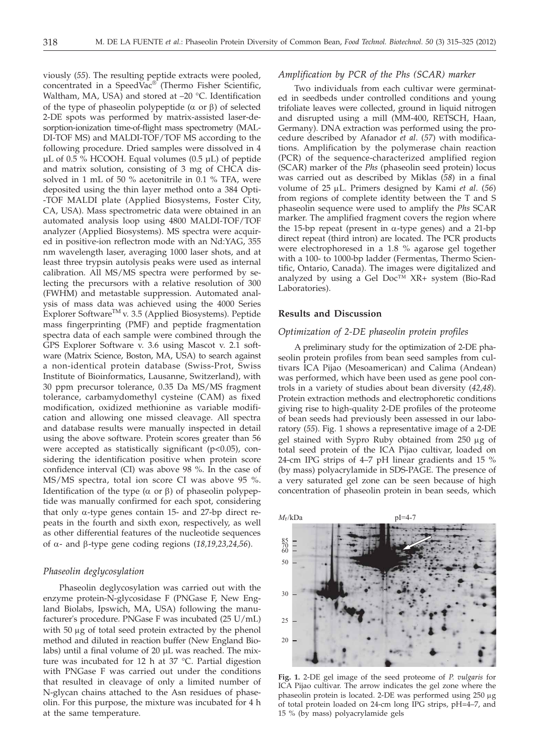viously (*55*). The resulting peptide extracts were pooled, concentrated in a SpeedVac® (Thermo Fisher Scientific, Waltham, MA, USA) and stored at -20 °C. Identification of the type of phaseolin polypeptide  $(\alpha \text{ or } \beta)$  of selected 2-DE spots was performed by matrix-assisted laser-desorption-ionization time-of-flight mass spectrometry (MAL-DI-TOF MS) and MALDI-TOF/TOF MS according to the following procedure. Dried samples were dissolved in 4 µL of 0.5 % HCOOH. Equal volumes (0.5 µL) of peptide and matrix solution, consisting of 3 mg of CHCA dissolved in 1 mL of 50 % acetonitrile in 0.1 % TFA, were deposited using the thin layer method onto a 384 Opti- -TOF MALDI plate (Applied Biosystems, Foster City, CA, USA). Mass spectrometric data were obtained in an automated analysis loop using 4800 MALDI-TOF/TOF analyzer (Applied Biosystems). MS spectra were acquired in positive-ion reflectron mode with an Nd:YAG, 355 nm wavelength laser, averaging 1000 laser shots, and at least three trypsin autolysis peaks were used as internal calibration. All MS/MS spectra were performed by selecting the precursors with a relative resolution of 300 (FWHM) and metastable suppression. Automated analysis of mass data was achieved using the 4000 Series Explorer SoftwareTM v. 3.5 (Applied Biosystems). Peptide mass fingerprinting (PMF) and peptide fragmentation spectra data of each sample were combined through the GPS Explorer Software v. 3.6 using Mascot v. 2.1 software (Matrix Science, Boston, MA, USA) to search against a non-identical protein database (Swiss-Prot, Swiss Institute of Bioinformatics, Lausanne, Switzerland), with 30 ppm precursor tolerance, 0.35 Da MS/MS fragment tolerance, carbamydomethyl cysteine (CAM) as fixed modification, oxidized methionine as variable modification and allowing one missed cleavage. All spectra and database results were manually inspected in detail using the above software. Protein scores greater than 56 were accepted as statistically significant (p<0.05), considering the identification positive when protein score confidence interval (CI) was above 98 %. In the case of MS/MS spectra, total ion score CI was above 95 %. Identification of the type ( $\alpha$  or  $\beta$ ) of phaseolin polypeptide was manually confirmed for each spot, considering that only  $\alpha$ -type genes contain 15- and 27-bp direct repeats in the fourth and sixth exon, respectively, as well as other differential features of the nucleotide sequences of  $\alpha$ - and  $\beta$ -type gene coding regions (18,19,23,24,56).

# *Phaseolin deglycosylation*

Phaseolin deglycosylation was carried out with the enzyme protein-N-glycosidase F (PNGase F, New England Biolabs, Ipswich, MA, USA) following the manufacturer's procedure. PNGase F was incubated (25 U/mL) with 50 µg of total seed protein extracted by the phenol method and diluted in reaction buffer (New England Biolabs) until a final volume of 20 µL was reached. The mixture was incubated for 12 h at 37 °C. Partial digestion with PNGase F was carried out under the conditions that resulted in cleavage of only a limited number of N-glycan chains attached to the Asn residues of phaseolin. For this purpose, the mixture was incubated for 4 h at the same temperature.

# *Amplification by PCR of the Phs (SCAR) marker*

Two individuals from each cultivar were germinated in seedbeds under controlled conditions and young trifoliate leaves were collected, ground in liquid nitrogen and disrupted using a mill (MM-400, RETSCH, Haan, Germany). DNA extraction was performed using the procedure described by Afanador *et al*. (*57*) with modifications. Amplification by the polymerase chain reaction (PCR) of the sequence-characterized amplified region (SCAR) marker of the *Phs* (phaseolin seed protein) locus was carried out as described by Miklas (*58*) in a final volume of 25 µL. Primers designed by Kami *et al.* (56) from regions of complete identity between the T and S phaseolin sequence were used to amplify the *Phs* SCAR marker. The amplified fragment covers the region where the 15-bp repeat (present in  $\alpha$ -type genes) and a 21-bp direct repeat (third intron) are located. The PCR products were electrophoresed in a 1.8 % agarose gel together with a 100- to 1000-bp ladder (Fermentas, Thermo Scientific, Ontario, Canada). The images were digitalized and analyzed by using a Gel Doc™ XR+ system (Bio-Rad Laboratories).

## **Results and Discussion**

# *Optimization of 2-DE phaseolin protein profiles*

A preliminary study for the optimization of 2-DE phaseolin protein profiles from bean seed samples from cultivars ICA Pijao (Mesoamerican) and Calima (Andean) was performed, which have been used as gene pool controls in a variety of studies about bean diversity (*42,48*). Protein extraction methods and electrophoretic conditions giving rise to high-quality 2-DE profiles of the proteome of bean seeds had previously been assessed in our laboratory (*55*). Fig. 1 shows a representative image of a 2-DE gel stained with Sypro Ruby obtained from 250 µg of total seed protein of the ICA Pijao cultivar, loaded on 24-cm IPG strips of 4–7 pH linear gradients and 15 % (by mass) polyacrylamide in SDS-PAGE. The presence of a very saturated gel zone can be seen because of high concentration of phaseolin protein in bean seeds, which



**Fig. 1.** 2-DE gel image of the seed proteome of *P. vulgaris* for ICA Pijao cultivar. The arrow indicates the gel zone where the phaseolin protein is located. 2-DE was performed using 250 µg of total protein loaded on 24-cm long IPG strips, pH=4–7, and 15 % (by mass) polyacrylamide gels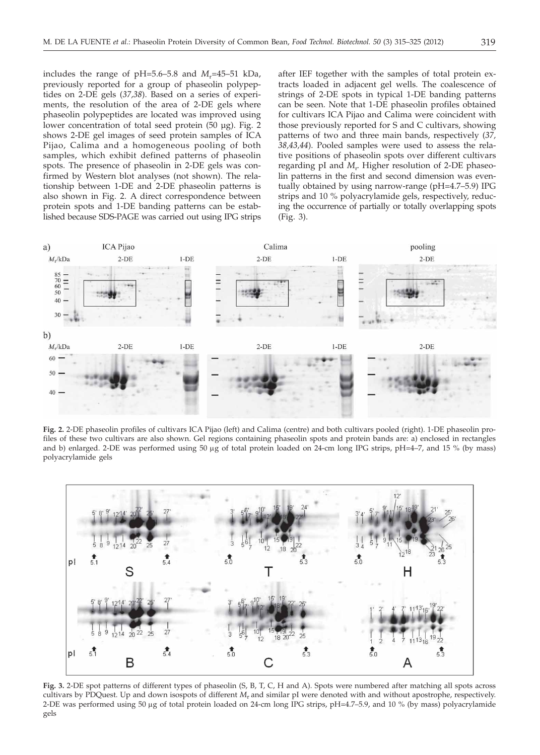includes the range of  $pH=5.6-5.8$  and  $M_r=45-51$  kDa, previously reported for a group of phaseolin polypeptides on 2-DE gels (*37,38*). Based on a series of experiments, the resolution of the area of 2-DE gels where phaseolin polypeptides are located was improved using lower concentration of total seed protein (50 µg). Fig. 2 shows 2-DE gel images of seed protein samples of ICA Pijao, Calima and a homogeneous pooling of both samples, which exhibit defined patterns of phaseolin spots. The presence of phaseolin in 2-DE gels was confirmed by Western blot analyses (not shown). The relationship between 1-DE and 2-DE phaseolin patterns is also shown in Fig. 2. A direct correspondence between protein spots and 1-DE banding patterns can be established because SDS-PAGE was carried out using IPG strips

after IEF together with the samples of total protein extracts loaded in adjacent gel wells. The coalescence of strings of 2-DE spots in typical 1-DE banding patterns can be seen. Note that 1-DE phaseolin profiles obtained for cultivars ICA Pijao and Calima were coincident with those previously reported for S and C cultivars, showing patterns of two and three main bands, respectively (*37, 38,43,44*). Pooled samples were used to assess the relative positions of phaseolin spots over different cultivars regarding pI and *M*<sup>r</sup> . Higher resolution of 2-DE phaseolin patterns in the first and second dimension was eventually obtained by using narrow-range (pH=4.7–5.9) IPG strips and 10 % polyacrylamide gels, respectively, reducing the occurrence of partially or totally overlapping spots (Fig. 3).



**Fig. 2.** 2-DE phaseolin profiles of cultivars ICA Pijao (left) and Calima (centre) and both cultivars pooled (right). 1-DE phaseolin profiles of these two cultivars are also shown. Gel regions containing phaseolin spots and protein bands are: a) enclosed in rectangles and b) enlarged. 2-DE was performed using 50  $\mu$ g of total protein loaded on 24-cm long IPG strips, pH=4–7, and 15 % (by mass) polyacrylamide gels



**Fig. 3.** 2-DE spot patterns of different types of phaseolin (S, B, T, C, H and A). Spots were numbered after matching all spots across cultivars by PDQuest. Up and down isospots of different *M*<sup>r</sup> and similar pI were denoted with and without apostrophe, respectively. 2-DE was performed using 50 µg of total protein loaded on 24-cm long IPG strips, pH=4.7–5.9, and 10 % (by mass) polyacrylamide gels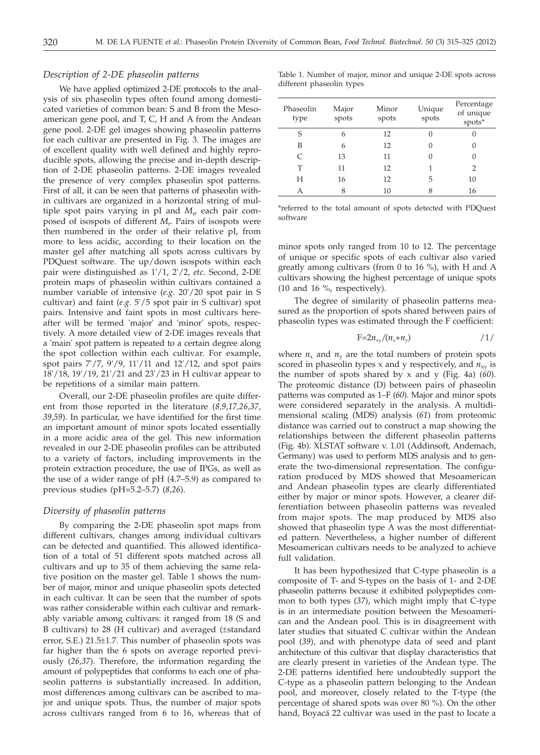#### *Description of 2-DE phaseolin patterns*

We have applied optimized 2-DE protocols to the analysis of six phaseolin types often found among domesticated varieties of common bean: S and B from the Mesoamerican gene pool, and T, C, H and A from the Andean gene pool. 2-DE gel images showing phaseolin patterns for each cultivar are presented in Fig. 3. The images are of excellent quality with well defined and highly reproducible spots, allowing the precise and in-depth description of 2-DE phaseolin patterns. 2-DE images revealed the presence of very complex phaseolin spot patterns. First of all, it can be seen that patterns of phaseolin within cultivars are organized in a horizontal string of multiple spot pairs varying in pI and *M*<sup>r</sup> , each pair composed of isospots of different *M*<sup>r</sup> . Pairs of isospots were then numbered in the order of their relative pI, from more to less acidic, according to their location on the master gel after matching all spots across cultivars by PDQuest software. The up/down isospots within each pair were distinguished as 1'/1, 2'/2, *etc*. Second, 2-DE protein maps of phaseolin within cultivars contained a number variable of intensive (*e*.*g*. 20'/20 spot pair in S cultivar) and faint (*e*.*g*. 5'/5 spot pair in S cultivar) spot pairs. Intensive and faint spots in most cultivars hereafter will be termed 'major' and 'minor' spots, respectively. A more detailed view of 2-DE images reveals that a 'main' spot pattern is repeated to a certain degree along the spot collection within each cultivar. For example, spot pairs 7'/7, 9'/9, 11'/11 and 12'/12, and spot pairs 18'/18, 19'/19, 21'/21 and 23'/23 in H cultivar appear to be repetitions of a similar main pattern.

Overall, our 2-DE phaseolin profiles are quite different from those reported in the literature (*8,9,17,26,37, 39,59*). In particular, we have identified for the first time an important amount of minor spots located essentially in a more acidic area of the gel. This new information revealed in our 2-DE phaseolin profiles can be attributed to a variety of factors, including improvements in the protein extraction procedure, the use of IPGs, as well as the use of a wider range of pH (4.7–5.9) as compared to previous studies (pH=5.2–5.7) (*8,26*).

## *Diversity of phaseolin patterns*

By comparing the 2-DE phaseolin spot maps from different cultivars, changes among individual cultivars can be detected and quantified. This allowed identification of a total of 51 different spots matched across all cultivars and up to 35 of them achieving the same relative position on the master gel. Table 1 shows the number of major, minor and unique phaseolin spots detected in each cultivar. It can be seen that the number of spots was rather considerable within each cultivar and remarkably variable among cultivars: it ranged from 18 (S and B cultivars) to 28 (H cultivar) and averaged (±standard error, S.E.) 21.5±1.7. This number of phaseolin spots was far higher than the 6 spots on average reported previously (*26,37*). Therefore, the information regarding the amount of polypeptides that conforms to each one of phaseolin patterns is substantially increased. In addition, most differences among cultivars can be ascribed to major and unique spots. Thus, the number of major spots across cultivars ranged from 6 to 16, whereas that of

Table 1. Number of major, minor and unique 2-DE spots across different phaseolin types

| Phaseolin<br>type | Major<br>spots | Minor<br>spots | Unique<br>spots | Percentage<br>of unique<br>spots* |
|-------------------|----------------|----------------|-----------------|-----------------------------------|
| S                 | 6              | 12             |                 |                                   |
| В                 | 6              | 12             |                 |                                   |
| C                 | 13             | 11             | 0               |                                   |
| т                 | 11             | 12             |                 | $\mathcal{P}$                     |
| H                 | 16             | 12             | 5               | 10                                |
|                   | 8              | 10             | 8               | 16                                |

\*referred to the total amount of spots detected with PDQuest software

minor spots only ranged from 10 to 12. The percentage of unique or specific spots of each cultivar also varied greatly among cultivars (from 0 to 16 %), with H and A cultivars showing the highest percentage of unique spots (10 and 16 %, respectively).

The degree of similarity of phaseolin patterns measured as the proportion of spots shared between pairs of phaseolin types was estimated through the F coefficient:

$$
F=2n_{xy}/(n_x+n_y) \hspace{1cm} /1/
$$

where  $n_x$  and  $n_y$  are the total numbers of protein spots scored in phaseolin types x and y respectively, and  $n_{xy}$  is the number of spots shared by x and y (Fig. 4a) (*60*). The proteomic distance (D) between pairs of phaseolin patterns was computed as 1–F (*60*). Major and minor spots were considered separately in the analysis. A multidimensional scaling (MDS) analysis (*61*) from proteomic distance was carried out to construct a map showing the relationships between the different phaseolin patterns (Fig. 4b). XLSTAT software v. 1.01 (Addinsoft, Andemach, Germany) was used to perform MDS analysis and to generate the two-dimensional representation. The configuration produced by MDS showed that Mesoamerican and Andean phaseolin types are clearly differentiated either by major or minor spots. However, a clearer differentiation between phaseolin patterns was revealed from major spots. The map produced by MDS also showed that phaseolin type A was the most differentiated pattern. Nevertheless, a higher number of different Mesoamerican cultivars needs to be analyzed to achieve full validation.

It has been hypothesized that C-type phaseolin is a composite of T- and S-types on the basis of 1- and 2-DE phaseolin patterns because it exhibited polypeptides common to both types (*37*), which might imply that C-type is in an intermediate position between the Mesoamerican and the Andean pool. This is in disagreement with later studies that situated C cultivar within the Andean pool (*39*), and with phenotype data of seed and plant architecture of this cultivar that display characteristics that are clearly present in varieties of the Andean type. The 2-DE patterns identified here undoubtedly support the C-type as a phaseolin pattern belonging to the Andean pool, and moreover, closely related to the T-type (the percentage of shared spots was over 80 %). On the other hand, Boyacá 22 cultivar was used in the past to locate a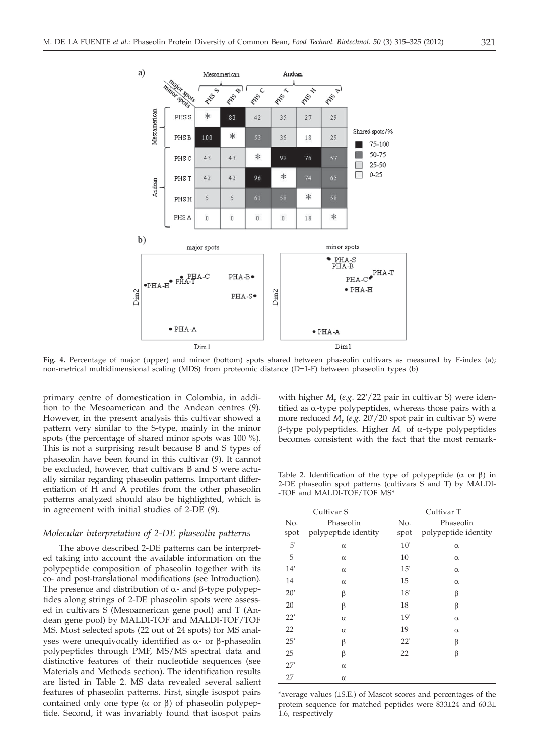

**Fig. 4.** Percentage of major (upper) and minor (bottom) spots shared between phaseolin cultivars as measured by F-index (a); non-metrical multidimensional scaling (MDS) from proteomic distance (D=1-F) between phaseolin types (b)

primary centre of domestication in Colombia, in addition to the Mesoamerican and the Andean centres (*9*). However, in the present analysis this cultivar showed a pattern very similar to the S-type, mainly in the minor spots (the percentage of shared minor spots was 100 %). This is not a surprising result because  $\bar{B}$  and S types of phaseolin have been found in this cultivar (*9*). It cannot be excluded, however, that cultivars B and S were actually similar regarding phaseolin patterns. Important differentiation of H and A profiles from the other phaseolin patterns analyzed should also be highlighted, which is in agreement with initial studies of 2-DE (*9*).

#### *Molecular interpretation of 2-DE phaseolin patterns*

The above described 2-DE patterns can be interpreted taking into account the available information on the polypeptide composition of phaseolin together with its co- and post-translational modifications (see Introduction). The presence and distribution of  $\alpha$ - and  $\beta$ -type polypeptides along strings of 2-DE phaseolin spots were assessed in cultivars S (Mesoamerican gene pool) and T (Andean gene pool) by MALDI-TOF and MALDI-TOF/TOF MS. Most selected spots (22 out of 24 spots) for MS analyses were unequivocally identified as  $\alpha$ - or  $\beta$ -phaseolin polypeptides through PMF, MS/MS spectral data and distinctive features of their nucleotide sequences (see Materials and Methods section). The identification results are listed in Table 2. MS data revealed several salient features of phaseolin patterns. First, single isospot pairs contained only one type  $(\alpha \text{ or } \beta)$  of phaseolin polypeptide. Second, it was invariably found that isospot pairs

with higher *M<sub>r</sub>* (*e.g.* 22'/22 pair in cultivar S) were identified as  $\alpha$ -type polypeptides, whereas those pairs with a more reduced *M*<sup>r</sup> (*e*.*g*. 20'/20 spot pair in cultivar S) were  $\beta$ -type polypeptides. Higher  $M_r$  of  $\alpha$ -type polypeptides becomes consistent with the fact that the most remark-

Table 2. Identification of the type of polypeptide ( $\alpha$  or  $\beta$ ) in 2-DE phaseolin spot patterns (cultivars S and T) by MALDI- -TOF and MALDI-TOF/TOF MS\*

| Cultivar S |                      | Cultivar T |                      |  |
|------------|----------------------|------------|----------------------|--|
| No.        | Phaseolin            | No.        | Phaseolin            |  |
| spot       | polypeptide identity | spot       | polypeptide identity |  |
| 5'         | $\alpha$             | 10'        | $\alpha$             |  |
| 5          | $\alpha$             | 10         | $\alpha$             |  |
| 14'        | $\alpha$             | 15'        | $\alpha$             |  |
| 14         | $\alpha$             | 15         | $\alpha$             |  |
| 20'        | β                    | 18'        | β                    |  |
| 20         | β                    | 18         | β                    |  |
| 22'        | $\alpha$             | 19'        | $\alpha$             |  |
| 22         | $\alpha$             | 19         | $\alpha$             |  |
| 25'        | β                    | 22'        | β                    |  |
| 25         | β                    | 22         | β                    |  |
| 27'        | $\alpha$             |            |                      |  |
| 27         | $\alpha$             |            |                      |  |
|            |                      |            |                      |  |

\*average values (±S.E.) of Mascot scores and percentages of the protein sequence for matched peptides were 833±24 and 60.3± 1.6, respectively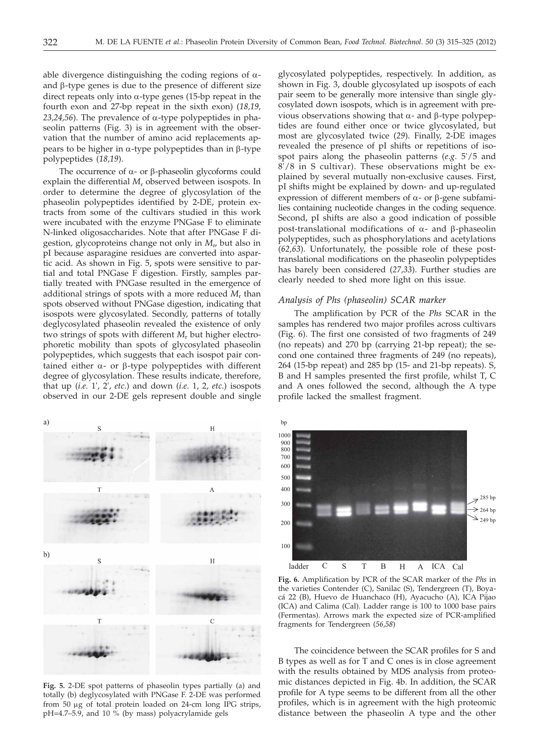able divergence distinguishing the coding regions of  $\alpha$ and  $\beta$ -type genes is due to the presence of different size direct repeats only into  $\alpha$ -type genes (15-bp repeat in the fourth exon and 27-bp repeat in the sixth exon) (*18,19,* 23,24,56). The prevalence of  $\alpha$ -type polypeptides in phaseolin patterns (Fig. 3) is in agreement with the observation that the number of amino acid replacements appears to be higher in  $\alpha$ -type polypeptides than in  $\beta$ -type polypeptides (*18,19*).

The occurrence of  $\alpha$ - or  $\beta$ -phaseolin glycoforms could explain the differential  $M_r$  observed between isospots. In order to determine the degree of glycosylation of the phaseolin polypeptides identified by 2-DE, protein extracts from some of the cultivars studied in this work were incubated with the enzyme PNGase F to eliminate N-linked oligosaccharides. Note that after PNGase F digestion, glycoproteins change not only in *M*<sup>r</sup> , but also in pI because asparagine residues are converted into aspartic acid. As shown in Fig. 5, spots were sensitive to partial and total PNGase F digestion. Firstly, samples partially treated with PNGase resulted in the emergence of additional strings of spots with a more reduced  $M_r$  than spots observed without PNGase digestion, indicating that isospots were glycosylated. Secondly, patterns of totally deglycosylated phaseolin revealed the existence of only two strings of spots with different *M*<sup>r</sup> but higher electrophoretic mobility than spots of glycosylated phaseolin polypeptides, which suggests that each isospot pair contained either  $\alpha$ - or  $\beta$ -type polypeptides with different degree of glycosylation. These results indicate, therefore, that up (*i*.*e*. 1', 2', *etc*.) and down (*i*.*e*. 1, 2, *etc*.) isospots observed in our 2-DE gels represent double and single



**Fig. 5.** 2-DE spot patterns of phaseolin types partially (a) and totally (b) deglycosylated with PNGase F. 2-DE was performed from 50 mg of total protein loaded on 24-cm long IPG strips,  $pH=4.7-5.9$ , and 10 % (by mass) polyacrylamide gels

glycosylated polypeptides, respectively. In addition, as shown in Fig. 3, double glycosylated up isospots of each pair seem to be generally more intensive than single glycosylated down isospots, which is in agreement with previous observations showing that  $\alpha$ - and  $\beta$ -type polypeptides are found either once or twice glycosylated, but most are glycosylated twice (*29*). Finally, 2-DE images revealed the presence of pI shifts or repetitions of isospot pairs along the phaseolin patterns (*e*.*g*. 5'/5 and 8'/8 in S cultivar). These observations might be explained by several mutually non-exclusive causes. First, pI shifts might be explained by down- and up-regulated expression of different members of  $\alpha$ - or  $\beta$ -gene subfamilies containing nucleotide changes in the coding sequence. Second, pI shifts are also a good indication of possible post-translational modifications of  $\alpha$ - and  $\beta$ -phaseolin polypeptides, such as phosphorylations and acetylations (*62,63*). Unfortunately, the possible role of these posttranslational modifications on the phaseolin polypeptides has barely been considered (*27,33*). Further studies are clearly needed to shed more light on this issue.

# *Analysis of Phs (phaseolin) SCAR marker*

The amplification by PCR of the *Phs* SCAR in the samples has rendered two major profiles across cultivars (Fig. 6). The first one consisted of two fragments of 249 (no repeats) and 270 bp (carrying 21-bp repeat); the second one contained three fragments of 249 (no repeats), 264 (15-bp repeat) and 285 bp (15- and 21-bp repeats). S, B and H samples presented the first profile, whilst T, C and A ones followed the second, although the A type profile lacked the smallest fragment.



**Fig. 6.** Amplification by PCR of the SCAR marker of the *Phs* in the varieties Contender (C), Sanilac (S), Tendergreen (T), Boyacá 22 (B), Huevo de Huanchaco (H), Ayacucho (A), ICA Pijao (ICA) and Calima (Cal). Ladder range is 100 to 1000 base pairs (Fermentas). Arrows mark the expected size of PCR-amplified fragments for Tendergreen (*56,58*)

The coincidence between the SCAR profiles for S and B types as well as for T and C ones is in close agreement with the results obtained by MDS analysis from proteomic distances depicted in Fig. 4b. In addition, the SCAR profile for A type seems to be different from all the other profiles, which is in agreement with the high proteomic distance between the phaseolin A type and the other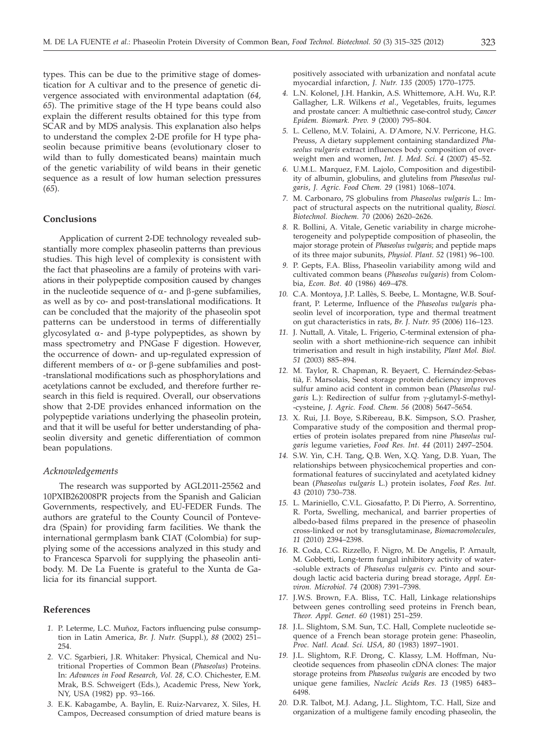types. This can be due to the primitive stage of domestication for A cultivar and to the presence of genetic divergence associated with environmental adaptation (*64, 65*). The primitive stage of the H type beans could also explain the different results obtained for this type from SCAR and by MDS analysis. This explanation also helps to understand the complex 2-DE profile for H type phaseolin because primitive beans (evolutionary closer to wild than to fully domesticated beans) maintain much of the genetic variability of wild beans in their genetic sequence as a result of low human selection pressures (*65*).

## **Conclusions**

Application of current 2-DE technology revealed substantially more complex phaseolin patterns than previous studies. This high level of complexity is consistent with the fact that phaseolins are a family of proteins with variations in their polypeptide composition caused by changes in the nucleotide sequence of  $\alpha$ - and  $\beta$ -gene subfamilies, as well as by co- and post-translational modifications. It can be concluded that the majority of the phaseolin spot patterns can be understood in terms of differentially glycosylated  $\alpha$ - and  $\beta$ -type polypeptides, as shown by mass spectrometry and PNGase F digestion. However, the occurrence of down- and up-regulated expression of different members of  $\alpha$ - or  $\beta$ -gene subfamilies and post--translational modifications such as phosphorylations and acetylations cannot be excluded, and therefore further research in this field is required. Overall, our observations show that 2-DE provides enhanced information on the polypeptide variations underlying the phaseolin protein, and that it will be useful for better understanding of phaseolin diversity and genetic differentiation of common bean populations.

# *Acknowledgements*

The research was supported by AGL2011-25562 and 10PXIB262008PR projects from the Spanish and Galician Governments, respectively, and EU-FEDER Funds. The authors are grateful to the County Council of Pontevedra (Spain) for providing farm facilities. We thank the international germplasm bank CIAT (Colombia) for supplying some of the accessions analyzed in this study and to Francesca Sparvoli for supplying the phaseolin antibody. M. De La Fuente is grateful to the Xunta de Galicia for its financial support.

# **References**

- *1.* P. Leterme, L.C. Muñoz, Factors influencing pulse consumption in Latin America, *Br. J. Nutr.* (Suppl.), *88* (2002) 251– 254.
- *2.* V.C. Sgarbieri, J.R. Whitaker: Physical, Chemical and Nutritional Properties of Common Bean (*Phaseolus*) Proteins. In: *Advances in Food Research, Vol. 28,* C.O. Chichester, E.M. Mrak, B.S. Schweigert (Eds.), Academic Press, New York, NY, USA (1982) pp. 93–166.
- *3.* E.K. Kabagambe, A. Baylin, E. Ruiz-Narvarez, X. Siles, H. Campos, Decreased consumption of dried mature beans is

positively associated with urbanization and nonfatal acute myocardial infarction, *J. Nutr. 135* (2005) 1770–1775.

- *4.* L.N. Kolonel, J.H. Hankin, A.S. Whittemore, A.H. Wu, R.P. Gallagher, L.R. Wilkens *et al*., Vegetables, fruits, legumes and prostate cancer: A multiethnic case-control study, *Cancer Epidem. Biomark. Prev. 9* (2000) 795–804.
- *5.* L. Celleno, M.V. Tolaini, A. D'Amore, N.V. Perricone, H.G. Preuss, A dietary supplement containing standardized *Phaseolus vulgaris* extract influences body composition of overweight men and women, *Int. J. Med. Sci. 4* (2007) 45–52.
- *6.* U.M.L. Marquez, F.M. Lajolo, Composition and digestibility of albumin, globulins, and glutelins from *Phaseolus vulgaris*, *J. Agric. Food Chem. 29* (1981) 1068–1074.
- *7.* M. Carbonaro, 7S globulins from *Phaseolus vulgaris* L.: Impact of structural aspects on the nutritional quality, *Biosci. Biotechnol. Biochem. 70* (2006) 2620–2626.
- *8.* R. Bollini, A. Vitale, Genetic variability in charge microheterogeneity and polypeptide composition of phaseolin, the major storage protein of *Phaseolus vulgaris*; and peptide maps of its three major subunits*, Physiol. Plant. 52* (1981) 96–100.
- *9.* P. Gepts, F.A. Bliss, Phaseolin variability among wild and cultivated common beans (*Phaseolus vulgaris*) from Colombia, *Econ. Bot. 40* (1986) 469–478.
- *10.* C.A. Montoya, J.P. Lallès, S. Beebe, L. Montagne, W.B. Souffrant, P. Leterme, Influence of the *Phaseolus vulgaris* phaseolin level of incorporation, type and thermal treatment on gut characteristics in rats, *Br. J. Nutr. 95* (2006) 116–123.
- *11.* J. Nuttall, A. Vitale, L. Frigerio, C-terminal extension of phaseolin with a short methionine-rich sequence can inhibit trimerisation and result in high instability, *Plant Mol. Biol. 51* (2003) 885–894.
- *12.* M. Taylor, R. Chapman, R. Beyaert, C. Hernández-Sebastià, F. Marsolais, Seed storage protein deficiency improves sulfur amino acid content in common bean (*Phaseolus vulgaris* L.): Redirection of sulfur from g-glutamyl-*S*-methyl- -cysteine, *J. Agric. Food. Chem. 56* (2008) 5647–5654.
- *13.* X. Rui, J.I. Boye, S.Ribereau, B.K. Simpson, S.O. Prasher, Comparative study of the composition and thermal properties of protein isolates prepared from nine *Phaseolus vulgaris* legume varieties, *Food Res. Int. 44* (2011) 2497–2504.
- *14.* S.W. Yin, C.H. Tang, Q.B. Wen, X.Q. Yang, D.B. Yuan, The relationships between physicochemical properties and conformational features of succinylated and acetylated kidney bean (*Phaseolus vulgaris* L.) protein isolates, *Food Res. Int. 43* (2010) 730–738.
- *15.* L. Mariniello, C.V.L. Giosafatto, P. Di Pierro, A. Sorrentino, R. Porta, Swelling, mechanical, and barrier properties of albedo-based films prepared in the presence of phaseolin cross-linked or not by transglutaminase, *Biomacromolecules, 11* (2010) 2394–2398.
- *16.* R. Coda, C.G. Rizzello, F. Nigro, M. De Angelis, P. Arnault, M. Gobbetti, Long-term fungal inhibitory activity of water- -soluble extracts of *Phaseolus vulgaris* cv. Pinto and sourdough lactic acid bacteria during bread storage, *Appl. Environ. Microbiol. 74* (2008) 7391–7398.
- *17.* J.W.S. Brown, F.A. Bliss, T.C. Hall, Linkage relationships between genes controlling seed proteins in French bean, *Theor. Appl. Genet. 60* (1981) 251–259.
- *18.* J.L. Slightom, S.M. Sun, T.C. Hall, Complete nucleotide sequence of a French bean storage protein gene: Phaseolin, *Proc. Natl. Acad. Sci. USA, 80* (1983) 1897–1901.
- *19.* J.L. Slightom, R.F. Drong, C. Klassy, L.M. Hoffman, Nucleotide sequences from phaseolin cDNA clones: The major storage proteins from *Phaseolus vulgaris* are encoded by two unique gene families, *Nucleic Acids Res. 13* (1985) 6483– 6498.
- *20.* D.R. Talbot, M.J. Adang, J.L. Slightom, T.C. Hall, Size and organization of a multigene family encoding phaseolin, the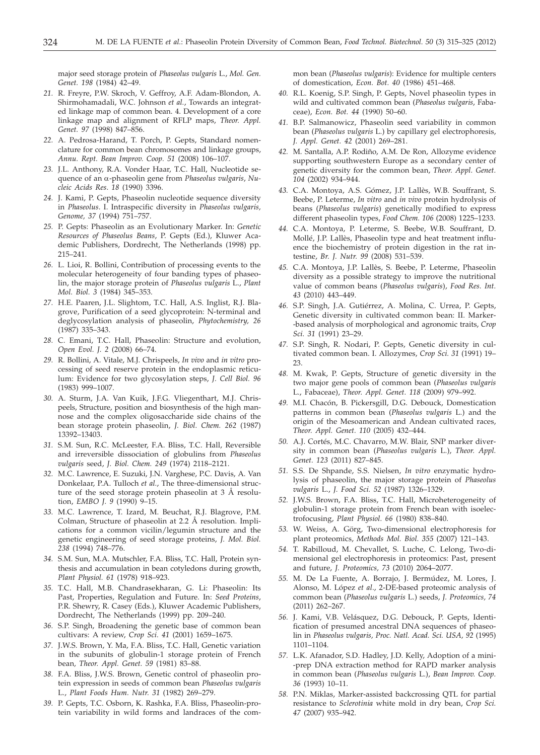major seed storage protein of *Phaseolus vulgaris* L., *Mol. Gen. Genet. 198* (1984) 42–49.

- *21.* R. Freyre, P.W. Skroch, V. Geffroy, A.F. Adam-Blondon, A. Shirmohamadali, W.C. Johnson *et al.*, Towards an integrated linkage map of common bean. 4. Development of a core linkage map and alignment of RFLP maps, *Theor. Appl. Genet. 97* (1998) 847–856.
- *22.* A. Pedrosa-Harand, T. Porch, P. Gepts, Standard nomenclature for common bean chromosomes and linkage groups, *Annu. Rept. Bean Improv. Coop. 51* (2008) 106–107.
- *23.* J.L. Anthony, R.A. Vonder Haar, T.C. Hall, Nucleotide sequence of an a-phaseolin gene from *Phaseolus vulgaris*, *Nucleic Acids Res*. *18* (1990) 3396.
- *24.* J. Kami, P. Gepts, Phaseolin nucleotide sequence diversity in *Phaseolus*. I. Intraspecific diversity in *Phaseolus vulgaris, Genome, 37* (1994) 751–757.
- *25.* P. Gepts: Phaseolin as an Evolutionary Marker. In: *Genetic Resources of Phaseolus Beans*, P. Gepts (Ed.), Kluwer Academic Publishers, Dordrecht, The Netherlands (1998) pp. 215–241.
- *26.* L. Lioi, R. Bollini, Contribution of processing events to the molecular heterogeneity of four banding types of phaseolin, the major storage protein of *Phaseolus vulgaris* L., *Plant Mol. Biol. 3* (1984) 345–353.
- *27.* H.E. Paaren, J.L. Slightom, T.C. Hall, A.S. Inglist, R.J. Blagrove, Purification of a seed glycoprotein: N-terminal and deglycosylation analysis of phaseolin, *Phytochemistry, 26* (1987) 335–343.
- *28.* C. Emani, T.C. Hall, Phaseolin: Structure and evolution, *Open Evol. J. 2* (2008) 66–74.
- *29.* R. Bollini, A. Vitale, M.J. Chrispeels, *In vivo* and *in vitro* processing of seed reserve protein in the endoplasmic reticulum: Evidence for two glycosylation steps, *J. Cell Biol. 96* (1983) 999–1007.
- *30.* A. Sturm, J.A. Van Kuik, J.F.G. Vliegenthart, M.J. Chrispeels, Structure, position and biosynthesis of the high mannose and the complex oligosaccharide side chains of the bean storage protein phaseolin, *J. Biol. Chem. 262* (1987) 13392–13403.
- *31.* S.M. Sun, R.C. McLeester, F.A. Bliss, T.C. Hall, Reversible and irreversible dissociation of globulins from *Phaseolus vulgaris* seed, *J. Biol. Chem. 249* (1974) 2118–2121.
- *32.* M.C. Lawrence, E. Suzuki, J.N. Varghese, P.C. Davis, A. Van Donkelaar, P.A. Tulloch *et al.*, The three-dimensional structure of the seed storage protein phaseolin at  $3\text{ Å}$  resolution, *EMBO J. 9* (1990) 9–15.
- *33.* M.C. Lawrence, T. Izard, M. Beuchat, R.J. Blagrove, P.M. Colman, Structure of phaseolin at 2.2 Å resolution. Implications for a common vicilin/legumin structure and the genetic engineering of seed storage proteins, *J. Mol. Biol. 238* (1994) 748–776.
- *34.* S.M. Sun, M.A. Mutschler, F.A. Bliss, T.C. Hall, Protein synthesis and accumulation in bean cotyledons during growth, *Plant Physiol. 61* (1978) 918–923.
- *35.* T.C. Hall, M.B. Chandrasekharan, G. Li: Phaseolin: Its Past, Properties, Regulation and Future. In: *Seed Proteins*, P.R. Shewry, R. Casey (Eds.), Kluwer Academic Publishers, Dordrecht, The Netherlands (1999) pp. 209–240.
- *36.* S.P. Singh, Broadening the genetic base of common bean cultivars: A review, *Crop Sci. 41* (2001) 1659–1675.
- *37.* J.W.S. Brown, Y. Ma, F.A. Bliss, T.C. Hall, Genetic variation in the subunits of globulin-1 storage protein of French bean*, Theor. Appl. Genet. 59* (1981) 83–88.
- *38.* F.A. Bliss, J.W.S. Brown, Genetic control of phaseolin protein expression in seeds of common bean *Phaseolus vulgaris* L., *Plant Foods Hum. Nutr. 31* (1982) 269–279.
- *39.* P. Gepts, T.C. Osborn, K. Rashka, F.A. Bliss, Phaseolin-protein variability in wild forms and landraces of the com-

mon bean (*Phaseolus vulgaris*): Evidence for multiple centers of domestication, *Econ. Bot. 40* (1986) 451–468.

- *40.* R.L. Koenig, S.P. Singh, P. Gepts, Novel phaseolin types in wild and cultivated common bean (*Phaseolus vulgaris*, Fabaceae), *Econ. Bot. 44* (1990) 50–60.
- *41.* B.P. Salmanowicz, Phaseolin seed variability in common bean (*Phaseolus vulgaris* L.) by capillary gel electrophoresis, *J. Appl. Genet. 42* (2001) 269–281.
- *42.* M. Santalla, A.P. Rodiño, A.M. De Ron, Allozyme evidence supporting southwestern Europe as a secondary center of genetic diversity for the common bean, *Theor. Appl. Genet. 104* (2002) 934–944.
- *43.* C.A. Montoya, A.S. Gómez, J.P. Lallès, W.B. Souffrant, S. Beebe, P. Leterme, *In vitro* and *in vivo* protein hydrolysis of beans (*Phaseolus vulgaris*) genetically modified to express different phaseolin types, *Food Chem. 106* (2008) 1225–1233.
- *44.* C.A. Montoya, P. Leterme, S. Beebe, W.B. Souffrant, D. Mollé, J.P. Lallès, Phaseolin type and heat treatment influence the biochemistry of protein digestion in the rat intestine, *Br. J. Nutr. 99* (2008) 531–539.
- *45.* C.A. Montoya, J.P. Lallès, S. Beebe, P. Leterme, Phaseolin diversity as a possible strategy to improve the nutritional value of common beans (*Phaseolus vulgaris*), *Food Res. Int. 43* (2010) 443–449.
- *46.* S.P. Singh, J.A. Gutiérrez, A. Molina, C. Urrea, P. Gepts, Genetic diversity in cultivated common bean: II. Marker- -based analysis of morphological and agronomic traits, *Crop Sci. 31* (1991) 23–29.
- *47.* S.P. Singh, R. Nodari, P. Gepts, Genetic diversity in cultivated common bean. I. Allozymes, *Crop Sci. 31* (1991) 19– 23.
- *48.* M. Kwak, P. Gepts, Structure of genetic diversity in the two major gene pools of common bean (*Phaseolus vulgaris* L., Fabaceae), *Theor. Appl. Genet. 118* (2009) 979–992.
- *49.* M.I. Chacón, B. Pickersgill, D.G. Debouck, Domestication patterns in common bean (*Phaseolus vulgaris* L.) and the origin of the Mesoamerican and Andean cultivated races, *Theor. Appl. Genet. 110* (2005) 432–444.
- *50.* A.J. Cortés, M.C. Chavarro, M.W. Blair, SNP marker diversity in common bean (*Phaseolus vulgaris* L.), *Theor. Appl. Genet. 123* (2011) 827–845.
- *51.* S.S. De Shpande, S.S. Nielsen, *In vitro* enzymatic hydrolysis of phaseolin, the major storage protein of *Phaseolus vulgaris* L., *J. Food Sci. 52* (1987) 1326–1329.
- *52.* J.W.S. Brown, F.A. Bliss, T.C. Hall, Microheterogeneity of globulin-1 storage protein from French bean with isoelectrofocusing, *Plant Physiol. 66* (1980) 838–840.
- *53.* W. Weiss, A. Görg, Two-dimensional electrophoresis for plant proteomics, *Methods Mol. Biol. 355* (2007) 121–143.
- *54.* T. Rabilloud, M. Chevallet, S. Luche, C. Lelong, Two-dimensional gel electrophoresis in proteomics: Past, present and future, *J. Proteomics, 73* (2010) 2064–2077.
- *55.* M. De La Fuente, A. Borrajo, J. Bermúdez, M. Lores, J. Alonso, M. López *et al*., 2-DE-based proteomic analysis of common bean (*Phaseolus vulgaris* L.) seeds, *J. Proteomics, 74* (2011) 262–267.
- *56.* J. Kami, V.B. Velásquez, D.G. Debouck, P. Gepts, Identification of presumed ancestral DNA sequences of phaseolin in *Phaseolus vulgaris, Proc. Natl. Acad. Sci. USA, 92* (1995) 1101–1104.
- *57.* L.K. Afanador, S.D. Hadley, J.D. Kelly, Adoption of a mini- -prep DNA extraction method for RAPD marker analysis in common bean (*Phaseolus vulgaris* L.), *Bean Improv. Coop. 36* (1993) 10–11.
- *58.* P.N. Miklas, Marker-assisted backcrossing QTL for partial resistance to *Sclerotinia* white mold in dry bean, *Crop Sci. 47* (2007) 935–942.